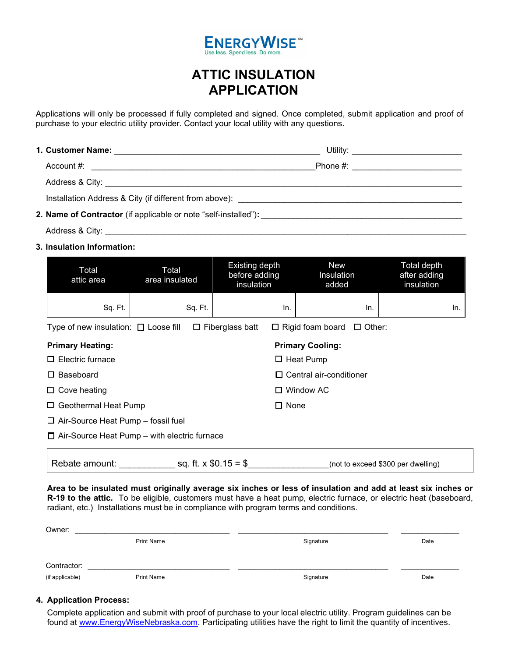

## ATTIC INSULATION APPLICATION

Applications will only be processed if fully completed and signed. Once completed, submit application and proof of purchase to your electric utility provider. Contact your local utility with any questions.

| Account $#$ :                                                   | Phone #: ____________________________ |  |
|-----------------------------------------------------------------|---------------------------------------|--|
|                                                                 |                                       |  |
|                                                                 |                                       |  |
| 2. Name of Contractor (if applicable or note "self-installed"): |                                       |  |

Address & City: \_\_\_\_\_\_\_\_\_\_\_\_\_\_\_\_\_\_\_\_\_\_\_\_\_\_\_\_\_\_\_\_\_\_\_\_\_\_\_\_\_\_\_\_\_\_\_\_\_\_\_\_\_\_\_\_\_\_\_\_\_\_\_\_\_\_\_\_\_\_\_\_\_\_\_\_\_\_\_

3. Insulation Information:

| Total<br>attic area                                                                                          | Total<br>area insulated       | Existing depth<br>before adding<br>insulation | <b>New</b><br>Insulation<br>added  | Total depth<br>after adding<br>insulation |  |  |  |
|--------------------------------------------------------------------------------------------------------------|-------------------------------|-----------------------------------------------|------------------------------------|-------------------------------------------|--|--|--|
| Sq. Ft.                                                                                                      | Sq. Ft.                       | In.                                           | In.                                | In.                                       |  |  |  |
| Type of new insulation: $\Box$ Loose fill<br>$\Box$ Fiberglass batt<br>$\Box$ Rigid foam board $\Box$ Other: |                               |                                               |                                    |                                           |  |  |  |
| <b>Primary Heating:</b><br><b>Primary Cooling:</b>                                                           |                               |                                               |                                    |                                           |  |  |  |
| Electric furnace<br>П                                                                                        | $\Box$ Heat Pump              |                                               |                                    |                                           |  |  |  |
| Baseboard<br>ப                                                                                               | Central air-conditioner<br>LΙ |                                               |                                    |                                           |  |  |  |
| Cove heating<br>ப                                                                                            | $\Box$ Window AC              |                                               |                                    |                                           |  |  |  |
| Geothermal Heat Pump<br>$\Box$ None<br>□                                                                     |                               |                                               |                                    |                                           |  |  |  |
| $\Box$ Air-Source Heat Pump – fossil fuel                                                                    |                               |                                               |                                    |                                           |  |  |  |
| $\Box$ Air-Source Heat Pump – with electric furnace                                                          |                               |                                               |                                    |                                           |  |  |  |
| Rebate amount:                                                                                               |                               | sq. ft. $x $0.15 = $$                         | (not to exceed \$300 per dwelling) |                                           |  |  |  |

Area to be insulated must originally average six inches or less of insulation and add at least six inches or R-19 to the attic. To be eligible, customers must have a heat pump, electric furnace, or electric heat (baseboard, radiant, etc.) Installations must be in compliance with program terms and conditions.

| Owner:          |                   |           |      |
|-----------------|-------------------|-----------|------|
|                 | <b>Print Name</b> | Signature | Date |
|                 |                   |           |      |
| Contractor:     |                   |           |      |
| (if applicable) | <b>Print Name</b> | Signature | Date |

## 4. Application Process:

Complete application and submit with proof of purchase to your local electric utility. Program guidelines can be found at www.EnergyWiseNebraska.com. Participating utilities have the right to limit the quantity of incentives.